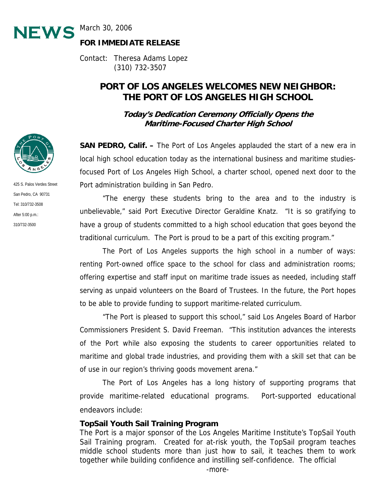

**FOR IMMEDIATE RELEASE** 

Contact: Theresa Adams Lopez (310) 732-3507

# **PORT OF LOS ANGELES WELCOMES NEW NEIGHBOR: THE PORT OF LOS ANGELES HIGH SCHOOL**

**Today's Dedication Ceremony Officially Opens the Maritime-Focused Charter High School** 

**SAN PEDRO, Calif. –** The Port of Los Angeles applauded the start of a new era in local high school education today as the international business and maritime studiesfocused Port of Los Angeles High School, a charter school, opened next door to the Port administration building in San Pedro.

 "The energy these students bring to the area and to the industry is unbelievable," said Port Executive Director Geraldine Knatz. "It is so gratifying to have a group of students committed to a high school education that goes beyond the traditional curriculum. The Port is proud to be a part of this exciting program."

 The Port of Los Angeles supports the high school in a number of ways: renting Port-owned office space to the school for class and administration rooms; offering expertise and staff input on maritime trade issues as needed, including staff serving as unpaid volunteers on the Board of Trustees. In the future, the Port hopes to be able to provide funding to support maritime-related curriculum.

 "The Port is pleased to support this school," said Los Angeles Board of Harbor Commissioners President S. David Freeman. "This institution advances the interests of the Port while also exposing the students to career opportunities related to maritime and global trade industries, and providing them with a skill set that can be of use in our region's thriving goods movement arena."

 The Port of Los Angeles has a long history of supporting programs that provide maritime-related educational programs. Port-supported educational endeavors include:

#### **TopSail Youth Sail Training Program**

The Port is a major sponsor of the Los Angeles Maritime Institute's TopSail Youth Sail Training program. Created for at-risk youth, the TopSail program teaches middle school students more than just how to sail, it teaches them to work together while building confidence and instilling self-confidence. The official



425 S. Palos Verdes Street San Pedro, CA 90731 Tel: 310/732-3508 After 5:00 p.m.: 310/732-3500